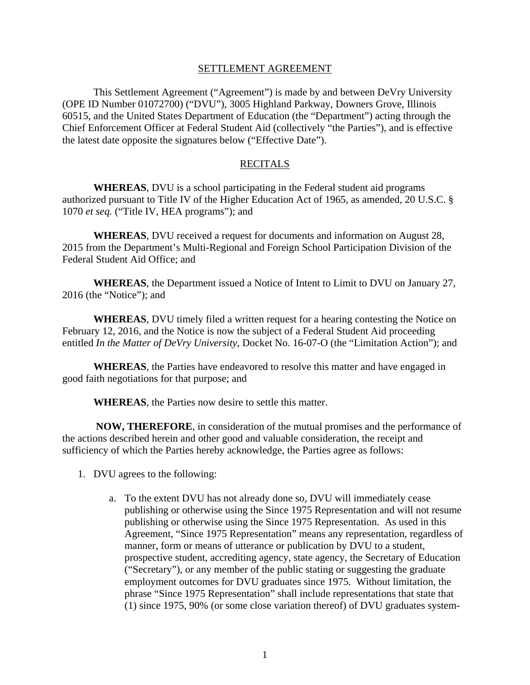## SETTLEMENT AGREEMENT

 This Settlement Agreement ("Agreement") is made by and between DeVry University (OPE ID Number 01072700) ("DVU"), 3005 Highland Parkway, Downers Grove, Illinois 60515, and the United States Department of Education (the "Department") acting through the Chief Enforcement Officer at Federal Student Aid (collectively "the Parties"), and is effective the latest date opposite the signatures below ("Effective Date").

## RECITALS

 **WHEREAS**, DVU is a school participating in the Federal student aid programs authorized pursuant to Title IV of the Higher Education Act of 1965, as amended, 20 U.S.C. § 1070 *et seq.* ("Title IV, HEA programs"); and

**WHEREAS**, DVU received a request for documents and information on August 28, 2015 from the Department's Multi-Regional and Foreign School Participation Division of the Federal Student Aid Office; and

 **WHEREAS**, the Department issued a Notice of Intent to Limit to DVU on January 27, 2016 (the "Notice"); and

**WHEREAS**, DVU timely filed a written request for a hearing contesting the Notice on February 12, 2016, and the Notice is now the subject of a Federal Student Aid proceeding entitled *In the Matter of DeVry University*, Docket No. 16-07-O (the "Limitation Action"); and

**WHEREAS**, the Parties have endeavored to resolve this matter and have engaged in good faith negotiations for that purpose; and

**WHEREAS**, the Parties now desire to settle this matter.

 **NOW, THEREFORE**, in consideration of the mutual promises and the performance of the actions described herein and other good and valuable consideration, the receipt and sufficiency of which the Parties hereby acknowledge, the Parties agree as follows:

- 1. DVU agrees to the following:
	- a. To the extent DVU has not already done so, DVU will immediately cease publishing or otherwise using the Since 1975 Representation and will not resume publishing or otherwise using the Since 1975 Representation. As used in this Agreement, "Since 1975 Representation" means any representation, regardless of manner, form or means of utterance or publication by DVU to a student, prospective student, accrediting agency, state agency, the Secretary of Education ("Secretary"), or any member of the public stating or suggesting the graduate employment outcomes for DVU graduates since 1975. Without limitation, the phrase "Since 1975 Representation" shall include representations that state that (1) since 1975, 90% (or some close variation thereof) of DVU graduates system-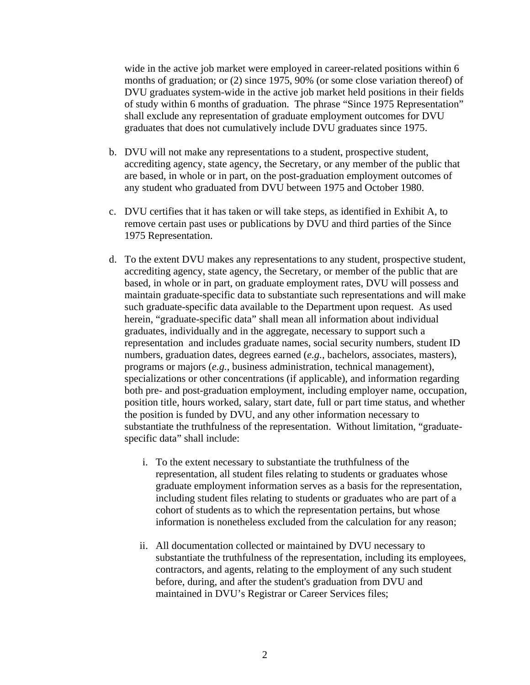wide in the active job market were employed in career-related positions within 6 months of graduation; or (2) since 1975, 90% (or some close variation thereof) of DVU graduates system-wide in the active job market held positions in their fields of study within 6 months of graduation. The phrase "Since 1975 Representation" shall exclude any representation of graduate employment outcomes for DVU graduates that does not cumulatively include DVU graduates since 1975.

- b. DVU will not make any representations to a student, prospective student, accrediting agency, state agency, the Secretary, or any member of the public that are based, in whole or in part, on the post-graduation employment outcomes of any student who graduated from DVU between 1975 and October 1980.
- c. DVU certifies that it has taken or will take steps, as identified in Exhibit A, to remove certain past uses or publications by DVU and third parties of the Since 1975 Representation.
- d. To the extent DVU makes any representations to any student, prospective student, accrediting agency, state agency, the Secretary, or member of the public that are based, in whole or in part, on graduate employment rates, DVU will possess and maintain graduate-specific data to substantiate such representations and will make such graduate-specific data available to the Department upon request. As used herein, "graduate-specific data" shall mean all information about individual graduates, individually and in the aggregate, necessary to support such a representation and includes graduate names, social security numbers, student ID numbers, graduation dates, degrees earned (*e.g.*, bachelors, associates, masters), programs or majors (*e.g.*, business administration, technical management), specializations or other concentrations (if applicable), and information regarding both pre- and post-graduation employment, including employer name, occupation, position title, hours worked, salary, start date, full or part time status, and whether the position is funded by DVU, and any other information necessary to substantiate the truthfulness of the representation. Without limitation, "graduatespecific data" shall include:
	- i. To the extent necessary to substantiate the truthfulness of the representation, all student files relating to students or graduates whose graduate employment information serves as a basis for the representation, including student files relating to students or graduates who are part of a cohort of students as to which the representation pertains, but whose information is nonetheless excluded from the calculation for any reason;
	- ii. All documentation collected or maintained by DVU necessary to substantiate the truthfulness of the representation, including its employees, contractors, and agents, relating to the employment of any such student before, during, and after the student's graduation from DVU and maintained in DVU's Registrar or Career Services files;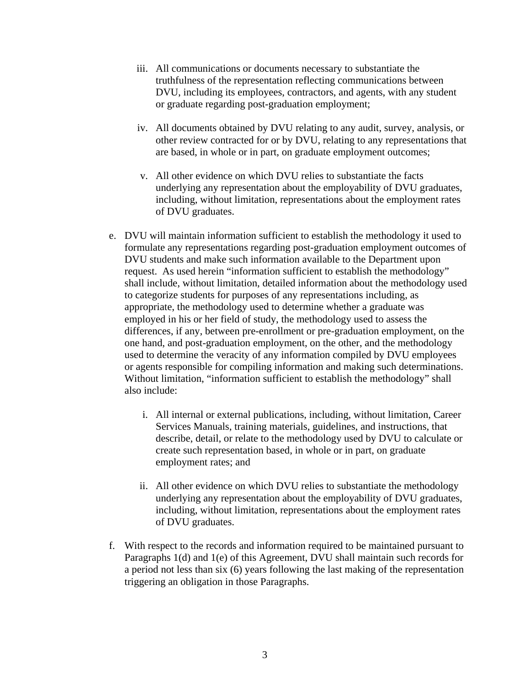- iii. All communications or documents necessary to substantiate the truthfulness of the representation reflecting communications between DVU, including its employees, contractors, and agents, with any student or graduate regarding post-graduation employment;
- iv. All documents obtained by DVU relating to any audit, survey, analysis, or other review contracted for or by DVU, relating to any representations that are based, in whole or in part, on graduate employment outcomes;
- v. All other evidence on which DVU relies to substantiate the facts underlying any representation about the employability of DVU graduates, including, without limitation, representations about the employment rates of DVU graduates.
- e. DVU will maintain information sufficient to establish the methodology it used to formulate any representations regarding post-graduation employment outcomes of DVU students and make such information available to the Department upon request. As used herein "information sufficient to establish the methodology" shall include, without limitation, detailed information about the methodology used to categorize students for purposes of any representations including, as appropriate, the methodology used to determine whether a graduate was employed in his or her field of study, the methodology used to assess the differences, if any, between pre-enrollment or pre-graduation employment, on the one hand, and post-graduation employment, on the other, and the methodology used to determine the veracity of any information compiled by DVU employees or agents responsible for compiling information and making such determinations. Without limitation, "information sufficient to establish the methodology" shall also include:
	- i. All internal or external publications, including, without limitation, Career Services Manuals, training materials, guidelines, and instructions, that describe, detail, or relate to the methodology used by DVU to calculate or create such representation based, in whole or in part, on graduate employment rates; and
	- ii. All other evidence on which DVU relies to substantiate the methodology underlying any representation about the employability of DVU graduates, including, without limitation, representations about the employment rates of DVU graduates.
- f. With respect to the records and information required to be maintained pursuant to Paragraphs 1(d) and 1(e) of this Agreement, DVU shall maintain such records for a period not less than six (6) years following the last making of the representation triggering an obligation in those Paragraphs.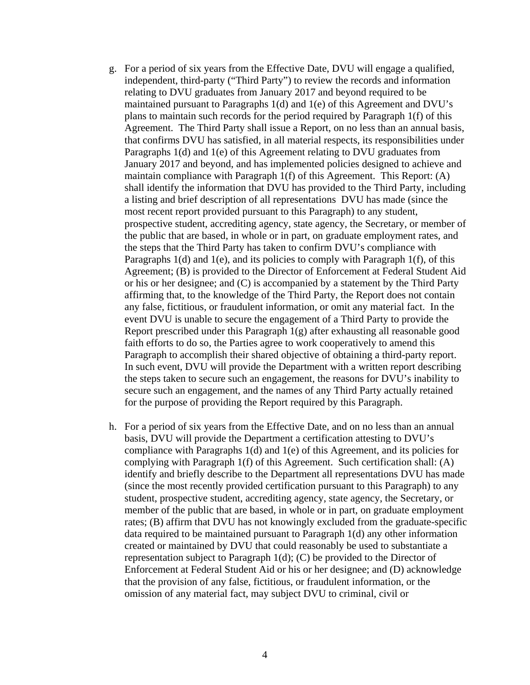- g. For a period of six years from the Effective Date, DVU will engage a qualified, independent, third-party ("Third Party") to review the records and information relating to DVU graduates from January 2017 and beyond required to be maintained pursuant to Paragraphs 1(d) and 1(e) of this Agreement and DVU's plans to maintain such records for the period required by Paragraph 1(f) of this Agreement. The Third Party shall issue a Report, on no less than an annual basis, that confirms DVU has satisfied, in all material respects, its responsibilities under Paragraphs 1(d) and 1(e) of this Agreement relating to DVU graduates from January 2017 and beyond, and has implemented policies designed to achieve and maintain compliance with Paragraph 1(f) of this Agreement. This Report: (A) shall identify the information that DVU has provided to the Third Party, including a listing and brief description of all representations DVU has made (since the most recent report provided pursuant to this Paragraph) to any student, prospective student, accrediting agency, state agency, the Secretary, or member of the public that are based, in whole or in part, on graduate employment rates, and the steps that the Third Party has taken to confirm DVU's compliance with Paragraphs  $1(d)$  and  $1(e)$ , and its policies to comply with Paragraph  $1(f)$ , of this Agreement; (B) is provided to the Director of Enforcement at Federal Student Aid or his or her designee; and (C) is accompanied by a statement by the Third Party affirming that, to the knowledge of the Third Party, the Report does not contain any false, fictitious, or fraudulent information, or omit any material fact. In the event DVU is unable to secure the engagement of a Third Party to provide the Report prescribed under this Paragraph 1(g) after exhausting all reasonable good faith efforts to do so, the Parties agree to work cooperatively to amend this Paragraph to accomplish their shared objective of obtaining a third-party report. In such event, DVU will provide the Department with a written report describing the steps taken to secure such an engagement, the reasons for DVU's inability to secure such an engagement, and the names of any Third Party actually retained for the purpose of providing the Report required by this Paragraph.
- h. For a period of six years from the Effective Date, and on no less than an annual basis, DVU will provide the Department a certification attesting to DVU's compliance with Paragraphs 1(d) and 1(e) of this Agreement, and its policies for complying with Paragraph 1(f) of this Agreement. Such certification shall: (A) identify and briefly describe to the Department all representations DVU has made (since the most recently provided certification pursuant to this Paragraph) to any student, prospective student, accrediting agency, state agency, the Secretary, or member of the public that are based, in whole or in part, on graduate employment rates; (B) affirm that DVU has not knowingly excluded from the graduate-specific data required to be maintained pursuant to Paragraph 1(d) any other information created or maintained by DVU that could reasonably be used to substantiate a representation subject to Paragraph 1(d); (C) be provided to the Director of Enforcement at Federal Student Aid or his or her designee; and (D) acknowledge that the provision of any false, fictitious, or fraudulent information, or the omission of any material fact, may subject DVU to criminal, civil or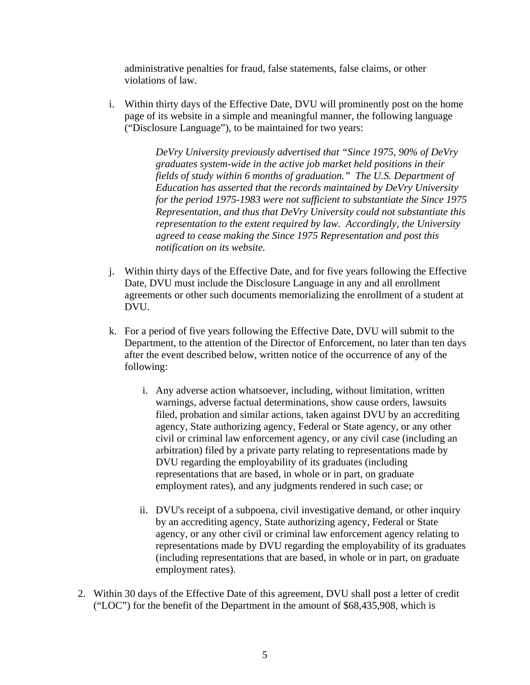administrative penalties for fraud, false statements, false claims, or other violations of law.

i. Within thirty days of the Effective Date, DVU will prominently post on the home page of its website in a simple and meaningful manner, the following language ("Disclosure Language"), to be maintained for two years:

> *DeVry University previously advertised that "Since 1975, 90% of DeVry graduates system-wide in the active job market held positions in their fields of study within 6 months of graduation." The U.S. Department of Education has asserted that the records maintained by DeVry University for the period 1975-1983 were not sufficient to substantiate the Since 1975 Representation, and thus that DeVry University could not substantiate this representation to the extent required by law. Accordingly, the University agreed to cease making the Since 1975 Representation and post this notification on its website.*

- j. Within thirty days of the Effective Date, and for five years following the Effective Date, DVU must include the Disclosure Language in any and all enrollment agreements or other such documents memorializing the enrollment of a student at DVU.
- k. For a period of five years following the Effective Date, DVU will submit to the Department, to the attention of the Director of Enforcement, no later than ten days after the event described below, written notice of the occurrence of any of the following:
	- i. Any adverse action whatsoever, including, without limitation, written warnings, adverse factual determinations, show cause orders, lawsuits filed, probation and similar actions, taken against DVU by an accrediting agency, State authorizing agency, Federal or State agency, or any other civil or criminal law enforcement agency, or any civil case (including an arbitration) filed by a private party relating to representations made by DVU regarding the employability of its graduates (including representations that are based, in whole or in part, on graduate employment rates), and any judgments rendered in such case; or
	- ii. DVU's receipt of a subpoena, civil investigative demand, or other inquiry by an accrediting agency, State authorizing agency, Federal or State agency, or any other civil or criminal law enforcement agency relating to representations made by DVU regarding the employability of its graduates (including representations that are based, in whole or in part, on graduate employment rates).
- 2. Within 30 days of the Effective Date of this agreement, DVU shall post a letter of credit ("LOC") for the benefit of the Department in the amount of \$68,435,908, which is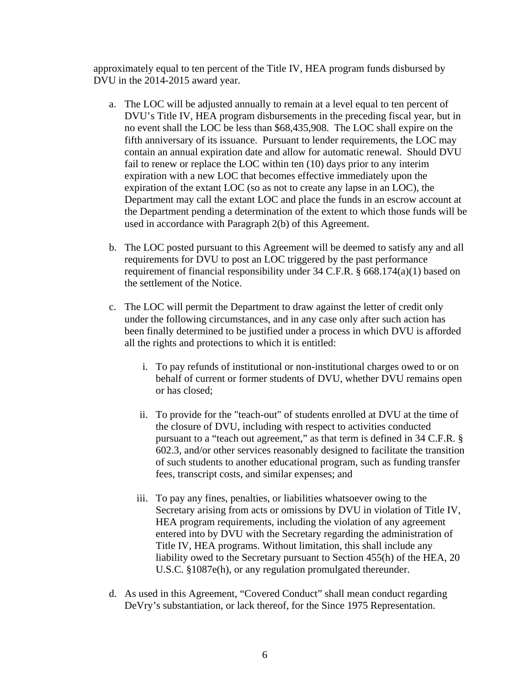approximately equal to ten percent of the Title IV, HEA program funds disbursed by DVU in the 2014-2015 award year.

- a. The LOC will be adjusted annually to remain at a level equal to ten percent of DVU's Title IV, HEA program disbursements in the preceding fiscal year, but in no event shall the LOC be less than \$68,435,908. The LOC shall expire on the fifth anniversary of its issuance. Pursuant to lender requirements, the LOC may contain an annual expiration date and allow for automatic renewal. Should DVU fail to renew or replace the LOC within ten (10) days prior to any interim expiration with a new LOC that becomes effective immediately upon the expiration of the extant LOC (so as not to create any lapse in an LOC), the Department may call the extant LOC and place the funds in an escrow account at the Department pending a determination of the extent to which those funds will be used in accordance with Paragraph 2(b) of this Agreement.
- b. The LOC posted pursuant to this Agreement will be deemed to satisfy any and all requirements for DVU to post an LOC triggered by the past performance requirement of financial responsibility under 34 C.F.R. § 668.174(a)(1) based on the settlement of the Notice.
- c. The LOC will permit the Department to draw against the letter of credit only under the following circumstances, and in any case only after such action has been finally determined to be justified under a process in which DVU is afforded all the rights and protections to which it is entitled:
	- i. To pay refunds of institutional or non-institutional charges owed to or on behalf of current or former students of DVU, whether DVU remains open or has closed;
	- ii. To provide for the "teach-out" of students enrolled at DVU at the time of the closure of DVU, including with respect to activities conducted pursuant to a "teach out agreement," as that term is defined in 34 C.F.R. § 602.3, and/or other services reasonably designed to facilitate the transition of such students to another educational program, such as funding transfer fees, transcript costs, and similar expenses; and
	- iii. To pay any fines, penalties, or liabilities whatsoever owing to the Secretary arising from acts or omissions by DVU in violation of Title IV, HEA program requirements, including the violation of any agreement entered into by DVU with the Secretary regarding the administration of Title IV, HEA programs. Without limitation, this shall include any liability owed to the Secretary pursuant to Section 455(h) of the HEA, 20 U.S.C. §1087e(h), or any regulation promulgated thereunder.
- d. As used in this Agreement, "Covered Conduct" shall mean conduct regarding DeVry's substantiation, or lack thereof, for the Since 1975 Representation.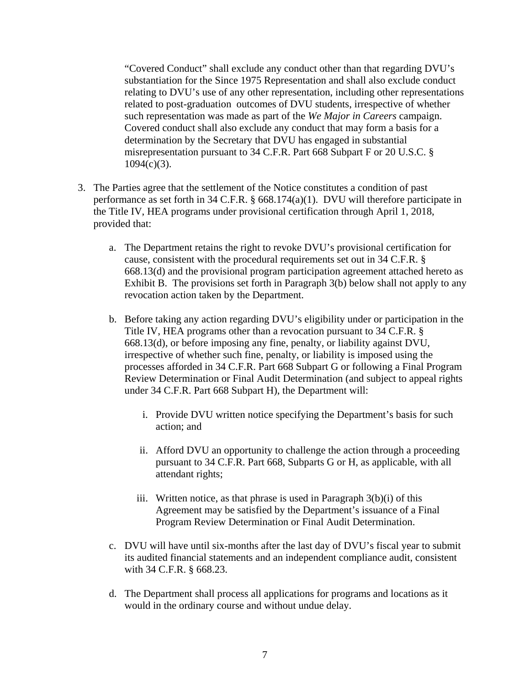"Covered Conduct" shall exclude any conduct other than that regarding DVU's substantiation for the Since 1975 Representation and shall also exclude conduct relating to DVU's use of any other representation, including other representations related to post-graduation outcomes of DVU students, irrespective of whether such representation was made as part of the *We Major in Careers* campaign. Covered conduct shall also exclude any conduct that may form a basis for a determination by the Secretary that DVU has engaged in substantial misrepresentation pursuant to 34 C.F.R. Part 668 Subpart F or 20 U.S.C. §  $1094(c)(3)$ .

- 3. The Parties agree that the settlement of the Notice constitutes a condition of past performance as set forth in 34 C.F.R. § 668.174(a)(1). DVU will therefore participate in the Title IV, HEA programs under provisional certification through April 1, 2018, provided that:
	- a. The Department retains the right to revoke DVU's provisional certification for cause, consistent with the procedural requirements set out in 34 C.F.R. § 668.13(d) and the provisional program participation agreement attached hereto as Exhibit B. The provisions set forth in Paragraph 3(b) below shall not apply to any revocation action taken by the Department.
	- b. Before taking any action regarding DVU's eligibility under or participation in the Title IV, HEA programs other than a revocation pursuant to 34 C.F.R. § 668.13(d), or before imposing any fine, penalty, or liability against DVU, irrespective of whether such fine, penalty, or liability is imposed using the processes afforded in 34 C.F.R. Part 668 Subpart G or following a Final Program Review Determination or Final Audit Determination (and subject to appeal rights under 34 C.F.R. Part 668 Subpart H), the Department will:
		- i. Provide DVU written notice specifying the Department's basis for such action; and
		- ii. Afford DVU an opportunity to challenge the action through a proceeding pursuant to 34 C.F.R. Part 668, Subparts G or H, as applicable, with all attendant rights;
		- iii. Written notice, as that phrase is used in Paragraph  $3(b)(i)$  of this Agreement may be satisfied by the Department's issuance of a Final Program Review Determination or Final Audit Determination.
	- c. DVU will have until six-months after the last day of DVU's fiscal year to submit its audited financial statements and an independent compliance audit, consistent with 34 C.F.R. § 668.23.
	- d. The Department shall process all applications for programs and locations as it would in the ordinary course and without undue delay.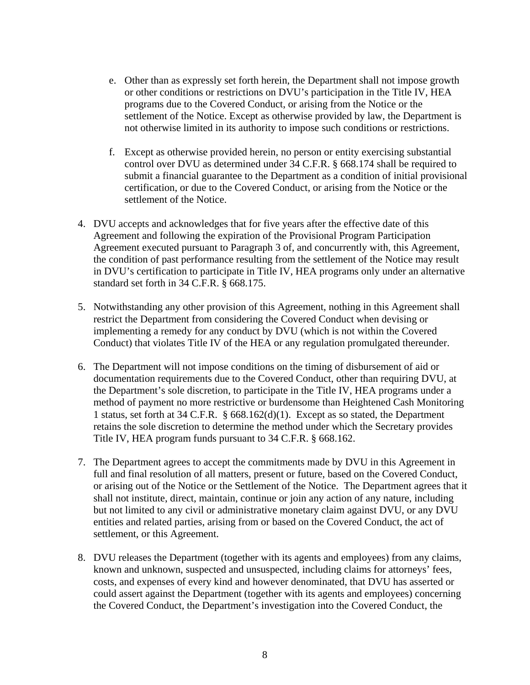- e. Other than as expressly set forth herein, the Department shall not impose growth or other conditions or restrictions on DVU's participation in the Title IV, HEA programs due to the Covered Conduct, or arising from the Notice or the settlement of the Notice. Except as otherwise provided by law, the Department is not otherwise limited in its authority to impose such conditions or restrictions.
- f. Except as otherwise provided herein, no person or entity exercising substantial control over DVU as determined under 34 C.F.R. § 668.174 shall be required to submit a financial guarantee to the Department as a condition of initial provisional certification, or due to the Covered Conduct, or arising from the Notice or the settlement of the Notice.
- 4. DVU accepts and acknowledges that for five years after the effective date of this Agreement and following the expiration of the Provisional Program Participation Agreement executed pursuant to Paragraph 3 of, and concurrently with, this Agreement, the condition of past performance resulting from the settlement of the Notice may result in DVU's certification to participate in Title IV, HEA programs only under an alternative standard set forth in 34 C.F.R. § 668.175.
- 5. Notwithstanding any other provision of this Agreement, nothing in this Agreement shall restrict the Department from considering the Covered Conduct when devising or implementing a remedy for any conduct by DVU (which is not within the Covered Conduct) that violates Title IV of the HEA or any regulation promulgated thereunder.
- 6. The Department will not impose conditions on the timing of disbursement of aid or documentation requirements due to the Covered Conduct, other than requiring DVU, at the Department's sole discretion, to participate in the Title IV, HEA programs under a method of payment no more restrictive or burdensome than Heightened Cash Monitoring 1 status, set forth at 34 C.F.R. § 668.162(d)(1). Except as so stated, the Department retains the sole discretion to determine the method under which the Secretary provides Title IV, HEA program funds pursuant to 34 C.F.R. § 668.162.
- 7. The Department agrees to accept the commitments made by DVU in this Agreement in full and final resolution of all matters, present or future, based on the Covered Conduct, or arising out of the Notice or the Settlement of the Notice. The Department agrees that it shall not institute, direct, maintain, continue or join any action of any nature, including but not limited to any civil or administrative monetary claim against DVU, or any DVU entities and related parties, arising from or based on the Covered Conduct, the act of settlement, or this Agreement.
- 8. DVU releases the Department (together with its agents and employees) from any claims, known and unknown, suspected and unsuspected, including claims for attorneys' fees, costs, and expenses of every kind and however denominated, that DVU has asserted or could assert against the Department (together with its agents and employees) concerning the Covered Conduct, the Department's investigation into the Covered Conduct, the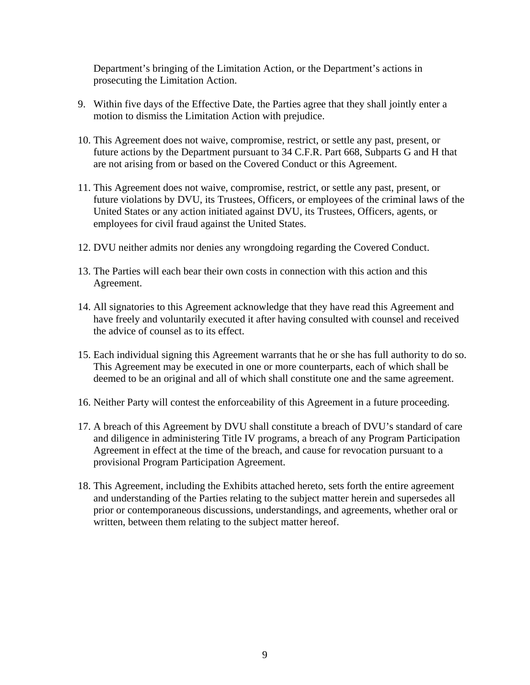Department's bringing of the Limitation Action, or the Department's actions in prosecuting the Limitation Action.

- 9. Within five days of the Effective Date, the Parties agree that they shall jointly enter a motion to dismiss the Limitation Action with prejudice.
- 10. This Agreement does not waive, compromise, restrict, or settle any past, present, or future actions by the Department pursuant to 34 C.F.R. Part 668, Subparts G and H that are not arising from or based on the Covered Conduct or this Agreement.
- 11. This Agreement does not waive, compromise, restrict, or settle any past, present, or future violations by DVU, its Trustees, Officers, or employees of the criminal laws of the United States or any action initiated against DVU, its Trustees, Officers, agents, or employees for civil fraud against the United States.
- 12. DVU neither admits nor denies any wrongdoing regarding the Covered Conduct.
- 13. The Parties will each bear their own costs in connection with this action and this Agreement.
- 14. All signatories to this Agreement acknowledge that they have read this Agreement and have freely and voluntarily executed it after having consulted with counsel and received the advice of counsel as to its effect.
- 15. Each individual signing this Agreement warrants that he or she has full authority to do so. This Agreement may be executed in one or more counterparts, each of which shall be deemed to be an original and all of which shall constitute one and the same agreement.
- 16. Neither Party will contest the enforceability of this Agreement in a future proceeding.
- 17. A breach of this Agreement by DVU shall constitute a breach of DVU's standard of care and diligence in administering Title IV programs, a breach of any Program Participation Agreement in effect at the time of the breach, and cause for revocation pursuant to a provisional Program Participation Agreement.
- 18. This Agreement, including the Exhibits attached hereto, sets forth the entire agreement and understanding of the Parties relating to the subject matter herein and supersedes all prior or contemporaneous discussions, understandings, and agreements, whether oral or written, between them relating to the subject matter hereof.